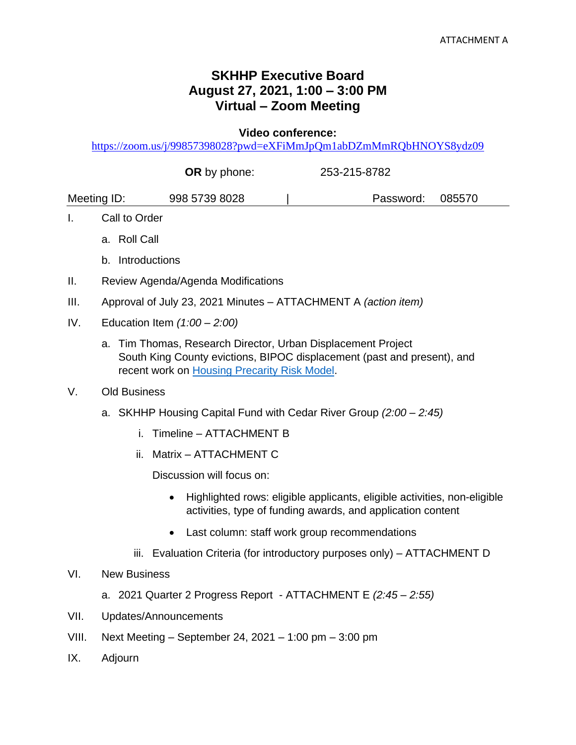## **SKHHP Executive Board August 27, 2021, 1:00 – 3:00 PM Virtual – Zoom Meeting**

**Video conference:** 

<https://zoom.us/j/99857398028?pwd=eXFiMmJpQm1abDZmMmRQbHNOYS8ydz09>

|               | <b>OR</b> by phone: | 253-215-8782     |  |  |
|---------------|---------------------|------------------|--|--|
| Meeting ID:   | 998 5739 8028       | Password: 085570 |  |  |
| Call to Order |                     |                  |  |  |
| a. Roll Call  |                     |                  |  |  |

- b. Introductions
- II. Review Agenda/Agenda Modifications
- III. Approval of July 23, 2021 Minutes ATTACHMENT A *(action item)*
- IV. Education Item *(1:00 – 2:00)*
	- a. Tim Thomas, Research Director, Urban Displacement Project South King County evictions, BIPOC displacement (past and present), and recent work on [Housing Precarity Risk Model.](https://www.urbandisplacement.org/us-regions/housing-precarity-risk-model)
- V. Old Business
	- a. SKHHP Housing Capital Fund with Cedar River Group *(2:00 – 2:45)*
		- i. Timeline ATTACHMENT B
		- ii. Matrix ATTACHMENT C

Discussion will focus on:

- Highlighted rows: eligible applicants, eligible activities, non-eligible activities, type of funding awards, and application content
- Last column: staff work group recommendations
- iii. Evaluation Criteria (for introductory purposes only) ATTACHMENT D
- VI. New Business
	- a. 2021 Quarter 2 Progress Report ATTACHMENT E *(2:45 – 2:55)*
- VII. Updates/Announcements
- VIII. Next Meeting September 24, 2021 1:00 pm 3:00 pm
- IX. Adjourn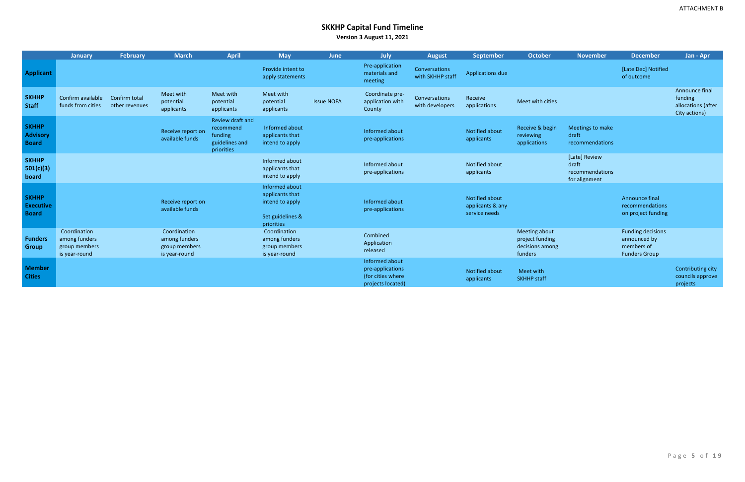# **SKKHP Capital Fund Timeline**

**Version 3 August 11, 2021**

|                                                  | <b>January</b>                                                  | <b>February</b>                 | <b>March</b>                                                    | <b>April</b>                                                             | <b>May</b>                                                                             | <b>June</b>       | <b>July</b>                                                                  | <b>August</b>                     | <b>September</b>                                    | <b>October</b>                                                 | <b>November</b>                                            | <b>December</b>                                                                | Jan - Apr                                                        |
|--------------------------------------------------|-----------------------------------------------------------------|---------------------------------|-----------------------------------------------------------------|--------------------------------------------------------------------------|----------------------------------------------------------------------------------------|-------------------|------------------------------------------------------------------------------|-----------------------------------|-----------------------------------------------------|----------------------------------------------------------------|------------------------------------------------------------|--------------------------------------------------------------------------------|------------------------------------------------------------------|
| <b>Applicant</b>                                 |                                                                 |                                 |                                                                 |                                                                          | Provide intent to<br>apply statements                                                  |                   | Pre-application<br>materials and<br>meeting                                  | Conversations<br>with SKHHP staff | Applications due                                    |                                                                |                                                            | [Late Dec] Notified<br>of outcome                                              |                                                                  |
| <b>SKHHP</b><br><b>Staff</b>                     | Confirm available<br>funds from cities                          | Confirm total<br>other revenues | Meet with<br>potential<br>applicants                            | Meet with<br>potential<br>applicants                                     | Meet with<br>potential<br>applicants                                                   | <b>Issue NOFA</b> | Coordinate pre-<br>application with<br>County                                | Conversations<br>with developers  | Receive<br>applications                             | Meet with cities                                               |                                                            |                                                                                | Announce final<br>funding<br>allocations (after<br>City actions) |
| <b>SKHHP</b><br><b>Advisory</b><br><b>Board</b>  |                                                                 |                                 | Receive report on<br>available funds                            | Review draft and<br>recommend<br>funding<br>guidelines and<br>priorities | Informed about<br>applicants that<br>intend to apply                                   |                   | Informed about<br>pre-applications                                           |                                   | Notified about<br>applicants                        | Receive & begin<br>reviewing<br>applications                   | Meetings to make<br>draft<br>recommendations               |                                                                                |                                                                  |
| <b>SKHHP</b><br>501(c)(3)<br>board               |                                                                 |                                 |                                                                 |                                                                          | Informed about<br>applicants that<br>intend to apply                                   |                   | Informed about<br>pre-applications                                           |                                   | Notified about<br>applicants                        |                                                                | [Late] Review<br>draft<br>recommendations<br>for alignment |                                                                                |                                                                  |
| <b>SKHHP</b><br><b>Executive</b><br><b>Board</b> |                                                                 |                                 | Receive report on<br>available funds                            |                                                                          | Informed about<br>applicants that<br>intend to apply<br>Set guidelines &<br>priorities |                   | Informed about<br>pre-applications                                           |                                   | Notified about<br>applicants & any<br>service needs |                                                                |                                                            | Announce final<br>recommendations<br>on project funding                        |                                                                  |
| <b>Funders</b><br><b>Group</b>                   | Coordination<br>among funders<br>group members<br>is year-round |                                 | Coordination<br>among funders<br>group members<br>is year-round |                                                                          | Coordination<br>among funders<br>group members<br>is year-round                        |                   | Combined<br>Application<br>released                                          |                                   |                                                     | Meeting about<br>project funding<br>decisions among<br>funders |                                                            | <b>Funding decisions</b><br>announced by<br>members of<br><b>Funders Group</b> |                                                                  |
| <b>Member</b><br><b>Cities</b>                   |                                                                 |                                 |                                                                 |                                                                          |                                                                                        |                   | Informed about<br>pre-applications<br>(for cities where<br>projects located) |                                   | <b>Notified about</b><br>applicants                 | Meet with<br><b>SKHHP staff</b>                                |                                                            |                                                                                | Contributing city<br>councils approve<br>projects                |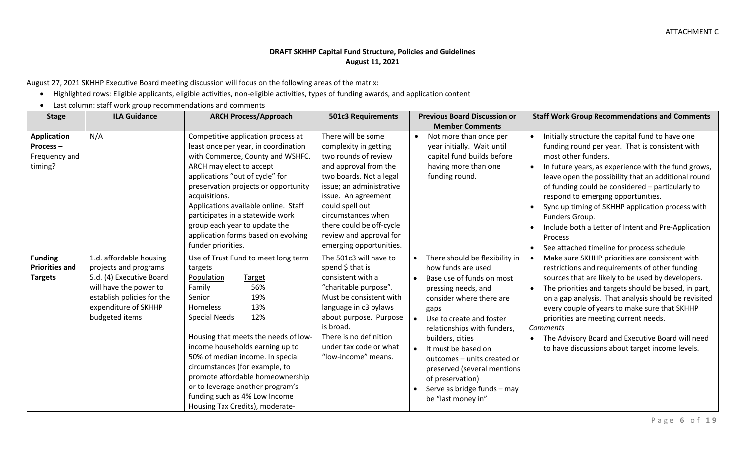### **DRAFT SKHHP Capital Fund Structure, Policies and Guidelines August 11, 2021**

August 27, 2021 SKHHP Executive Board meeting discussion will focus on the following areas of the matrix:

- Highlighted rows: Eligible applicants, eligible activities, non-eligible activities, types of funding awards, and application content
- Last column: staff work group recommendations and comments

| <b>Stage</b>                                               | <b>ILA Guidance</b>                                                                                                                                                            | <b>ARCH Process/Approach</b>                                                                                                                                                                                                                                                                                                                                                                                                                            | <b>501c3 Requirements</b>                                                                                                                                                                                                                                                                             | <b>Previous Board Discussion or</b>                                                                                                                                                                                                                                                                                                                                                       | <b>Staff Work Group Recommendations and Comments</b>                                                                                                                                                                                                                                                                                                                                                                                                                                                                                                            |
|------------------------------------------------------------|--------------------------------------------------------------------------------------------------------------------------------------------------------------------------------|---------------------------------------------------------------------------------------------------------------------------------------------------------------------------------------------------------------------------------------------------------------------------------------------------------------------------------------------------------------------------------------------------------------------------------------------------------|-------------------------------------------------------------------------------------------------------------------------------------------------------------------------------------------------------------------------------------------------------------------------------------------------------|-------------------------------------------------------------------------------------------------------------------------------------------------------------------------------------------------------------------------------------------------------------------------------------------------------------------------------------------------------------------------------------------|-----------------------------------------------------------------------------------------------------------------------------------------------------------------------------------------------------------------------------------------------------------------------------------------------------------------------------------------------------------------------------------------------------------------------------------------------------------------------------------------------------------------------------------------------------------------|
|                                                            |                                                                                                                                                                                |                                                                                                                                                                                                                                                                                                                                                                                                                                                         |                                                                                                                                                                                                                                                                                                       | <b>Member Comments</b>                                                                                                                                                                                                                                                                                                                                                                    |                                                                                                                                                                                                                                                                                                                                                                                                                                                                                                                                                                 |
| <b>Application</b><br>Process-<br>Frequency and<br>timing? | N/A                                                                                                                                                                            | Competitive application process at<br>least once per year, in coordination<br>with Commerce, County and WSHFC.<br>ARCH may elect to accept<br>applications "out of cycle" for<br>preservation projects or opportunity<br>acquisitions.<br>Applications available online. Staff<br>participates in a statewide work<br>group each year to update the<br>application forms based on evolving<br>funder priorities.                                        | There will be some<br>complexity in getting<br>two rounds of review<br>and approval from the<br>two boards. Not a legal<br>issue; an administrative<br>issue. An agreement<br>could spell out<br>circumstances when<br>there could be off-cycle<br>review and approval for<br>emerging opportunities. | Not more than once per<br>year initially. Wait until<br>capital fund builds before<br>having more than one<br>funding round.                                                                                                                                                                                                                                                              | Initially structure the capital fund to have one<br>$\bullet$<br>funding round per year. That is consistent with<br>most other funders.<br>In future years, as experience with the fund grows,<br>leave open the possibility that an additional round<br>of funding could be considered - particularly to<br>respond to emerging opportunities.<br>Sync up timing of SKHHP application process with<br>$\bullet$<br>Funders Group.<br>Include both a Letter of Intent and Pre-Application<br>Process<br>See attached timeline for process schedule<br>$\bullet$ |
| <b>Funding</b><br><b>Priorities and</b><br><b>Targets</b>  | 1.d. affordable housing<br>projects and programs<br>5.d. (4) Executive Board<br>will have the power to<br>establish policies for the<br>expenditure of SKHHP<br>budgeted items | Use of Trust Fund to meet long term<br>targets<br>Population<br>Target<br>56%<br>Family<br>19%<br>Senior<br>13%<br>Homeless<br><b>Special Needs</b><br>12%<br>Housing that meets the needs of low-<br>income households earning up to<br>50% of median income. In special<br>circumstances (for example, to<br>promote affordable homeownership<br>or to leverage another program's<br>funding such as 4% Low Income<br>Housing Tax Credits), moderate- | The 501c3 will have to<br>spend $$$ that is<br>consistent with a<br>"charitable purpose".<br>Must be consistent with<br>language in c3 bylaws<br>about purpose. Purpose<br>is broad.<br>There is no definition<br>under tax code or what<br>"low-income" means.                                       | There should be flexibility in<br>how funds are used<br>Base use of funds on most<br>pressing needs, and<br>consider where there are<br>gaps<br>Use to create and foster<br>relationships with funders,<br>builders, cities<br>It must be based on<br>outcomes - units created or<br>preserved (several mentions<br>of preservation)<br>Serve as bridge funds - may<br>be "last money in" | Make sure SKHHP priorities are consistent with<br>restrictions and requirements of other funding<br>sources that are likely to be used by developers.<br>The priorities and targets should be based, in part,<br>on a gap analysis. That analysis should be revisited<br>every couple of years to make sure that SKHHP<br>priorities are meeting current needs.<br>Comments<br>The Advisory Board and Executive Board will need<br>to have discussions about target income levels.                                                                              |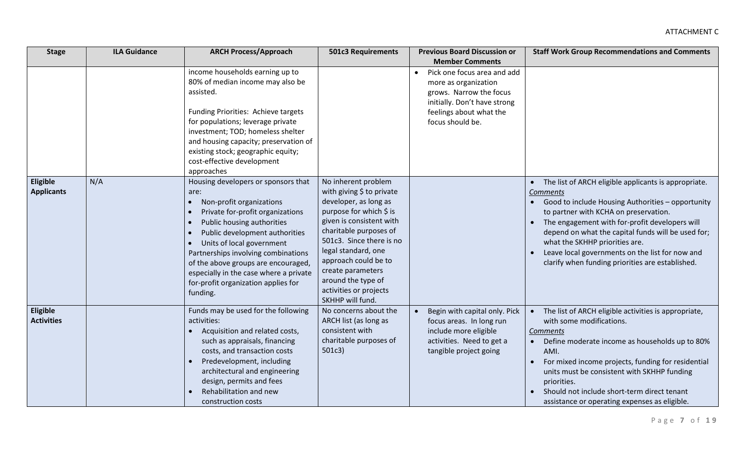| <b>Stage</b>                  | <b>ILA Guidance</b> | <b>ARCH Process/Approach</b>                                                                                                                                                                                                                                                                                                                                                                                                                         | <b>501c3 Requirements</b>                                                                                                                                                                                                                                                                                                      | <b>Previous Board Discussion or</b>                                                                                                                                        | <b>Staff Work Group Recommendations and Comments</b>                                                                                                                                                                                                                                                                                                                                                                           |
|-------------------------------|---------------------|------------------------------------------------------------------------------------------------------------------------------------------------------------------------------------------------------------------------------------------------------------------------------------------------------------------------------------------------------------------------------------------------------------------------------------------------------|--------------------------------------------------------------------------------------------------------------------------------------------------------------------------------------------------------------------------------------------------------------------------------------------------------------------------------|----------------------------------------------------------------------------------------------------------------------------------------------------------------------------|--------------------------------------------------------------------------------------------------------------------------------------------------------------------------------------------------------------------------------------------------------------------------------------------------------------------------------------------------------------------------------------------------------------------------------|
|                               |                     |                                                                                                                                                                                                                                                                                                                                                                                                                                                      |                                                                                                                                                                                                                                                                                                                                | <b>Member Comments</b>                                                                                                                                                     |                                                                                                                                                                                                                                                                                                                                                                                                                                |
|                               |                     | income households earning up to<br>80% of median income may also be<br>assisted.<br>Funding Priorities: Achieve targets<br>for populations; leverage private<br>investment; TOD; homeless shelter<br>and housing capacity; preservation of<br>existing stock; geographic equity;<br>cost-effective development<br>approaches                                                                                                                         |                                                                                                                                                                                                                                                                                                                                | Pick one focus area and add<br>$\bullet$<br>more as organization<br>grows. Narrow the focus<br>initially. Don't have strong<br>feelings about what the<br>focus should be. |                                                                                                                                                                                                                                                                                                                                                                                                                                |
| Eligible<br><b>Applicants</b> | N/A                 | Housing developers or sponsors that<br>are:<br>Non-profit organizations<br>$\bullet$<br>Private for-profit organizations<br>$\bullet$<br>Public housing authorities<br>$\bullet$<br>Public development authorities<br>$\bullet$<br>Units of local government<br>$\bullet$<br>Partnerships involving combinations<br>of the above groups are encouraged,<br>especially in the case where a private<br>for-profit organization applies for<br>funding. | No inherent problem<br>with giving \$ to private<br>developer, as long as<br>purpose for which \$ is<br>given is consistent with<br>charitable purposes of<br>501c3. Since there is no<br>legal standard, one<br>approach could be to<br>create parameters<br>around the type of<br>activities or projects<br>SKHHP will fund. |                                                                                                                                                                            | • The list of ARCH eligible applicants is appropriate.<br>Comments<br>Good to include Housing Authorities - opportunity<br>to partner with KCHA on preservation.<br>The engagement with for-profit developers will<br>$\bullet$<br>depend on what the capital funds will be used for;<br>what the SKHHP priorities are.<br>Leave local governments on the list for now and<br>clarify when funding priorities are established. |
| Eligible<br><b>Activities</b> |                     | Funds may be used for the following<br>activities:<br>Acquisition and related costs,<br>such as appraisals, financing<br>costs, and transaction costs<br>Predevelopment, including<br>architectural and engineering<br>design, permits and fees<br>Rehabilitation and new<br>construction costs                                                                                                                                                      | No concerns about the<br>ARCH list (as long as<br>consistent with<br>charitable purposes of<br>501c3)                                                                                                                                                                                                                          | Begin with capital only. Pick<br>focus areas. In long run<br>include more eligible<br>activities. Need to get a<br>tangible project going                                  | The list of ARCH eligible activities is appropriate,<br>with some modifications.<br>Comments<br>Define moderate income as households up to 80%<br>AMI.<br>For mixed income projects, funding for residential<br>units must be consistent with SKHHP funding<br>priorities.<br>Should not include short-term direct tenant<br>assistance or operating expenses as eligible.                                                     |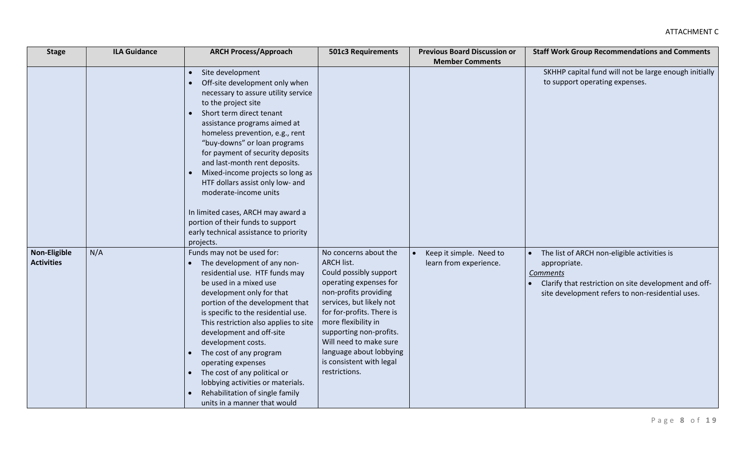| <b>Stage</b>                             | <b>ILA Guidance</b> | <b>ARCH Process/Approach</b>                                                                                                                                                                                                                                                                                                                                                                                                                                                                                                                                         | <b>501c3 Requirements</b>                                                                                                                                                                                                                                                                                                            | <b>Previous Board Discussion or</b>               | <b>Staff Work Group Recommendations and Comments</b>                                                                                                                                        |
|------------------------------------------|---------------------|----------------------------------------------------------------------------------------------------------------------------------------------------------------------------------------------------------------------------------------------------------------------------------------------------------------------------------------------------------------------------------------------------------------------------------------------------------------------------------------------------------------------------------------------------------------------|--------------------------------------------------------------------------------------------------------------------------------------------------------------------------------------------------------------------------------------------------------------------------------------------------------------------------------------|---------------------------------------------------|---------------------------------------------------------------------------------------------------------------------------------------------------------------------------------------------|
|                                          |                     | Site development<br>$\bullet$<br>Off-site development only when<br>necessary to assure utility service<br>to the project site<br>Short term direct tenant<br>assistance programs aimed at<br>homeless prevention, e.g., rent<br>"buy-downs" or loan programs<br>for payment of security deposits<br>and last-month rent deposits.<br>Mixed-income projects so long as<br>HTF dollars assist only low- and<br>moderate-income units<br>In limited cases, ARCH may award a<br>portion of their funds to support<br>early technical assistance to priority<br>projects. |                                                                                                                                                                                                                                                                                                                                      | <b>Member Comments</b>                            | SKHHP capital fund will not be large enough initially<br>to support operating expenses.                                                                                                     |
| <b>Non-Eligible</b><br><b>Activities</b> | N/A                 | Funds may not be used for:<br>The development of any non-<br>residential use. HTF funds may<br>be used in a mixed use<br>development only for that<br>portion of the development that<br>is specific to the residential use.<br>This restriction also applies to site<br>development and off-site<br>development costs.<br>The cost of any program<br>$\bullet$<br>operating expenses<br>The cost of any political or<br>$\bullet$<br>lobbying activities or materials.<br>Rehabilitation of single family<br>units in a manner that would                           | No concerns about the<br><b>ARCH list.</b><br>Could possibly support<br>operating expenses for<br>non-profits providing<br>services, but likely not<br>for for-profits. There is<br>more flexibility in<br>supporting non-profits.<br>Will need to make sure<br>language about lobbying<br>is consistent with legal<br>restrictions. | Keep it simple. Need to<br>learn from experience. | The list of ARCH non-eligible activities is<br>appropriate.<br><b>Comments</b><br>Clarify that restriction on site development and off-<br>site development refers to non-residential uses. |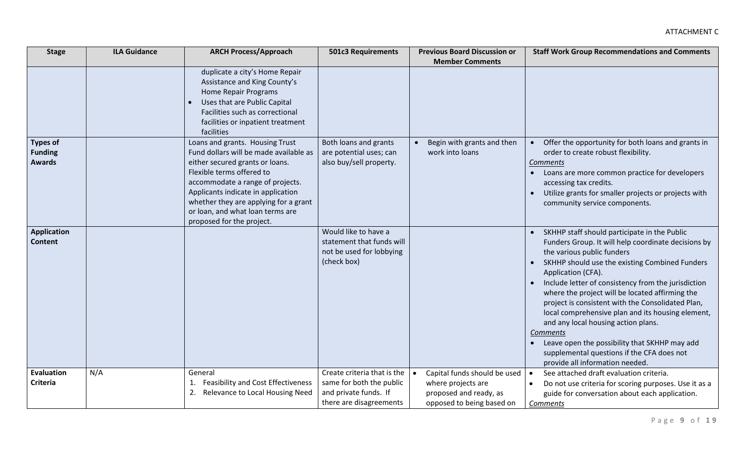| <b>Stage</b>       | <b>ILA Guidance</b> | <b>ARCH Process/Approach</b>                                              | <b>501c3 Requirements</b>   | <b>Previous Board Discussion or</b> | <b>Staff Work Group Recommendations and Comments</b>                                        |
|--------------------|---------------------|---------------------------------------------------------------------------|-----------------------------|-------------------------------------|---------------------------------------------------------------------------------------------|
|                    |                     |                                                                           |                             | <b>Member Comments</b>              |                                                                                             |
|                    |                     | duplicate a city's Home Repair                                            |                             |                                     |                                                                                             |
|                    |                     | Assistance and King County's<br><b>Home Repair Programs</b>               |                             |                                     |                                                                                             |
|                    |                     | Uses that are Public Capital                                              |                             |                                     |                                                                                             |
|                    |                     | Facilities such as correctional                                           |                             |                                     |                                                                                             |
|                    |                     | facilities or inpatient treatment                                         |                             |                                     |                                                                                             |
|                    |                     | facilities                                                                |                             |                                     |                                                                                             |
| <b>Types of</b>    |                     | Loans and grants. Housing Trust                                           | Both loans and grants       | Begin with grants and then          | Offer the opportunity for both loans and grants in                                          |
| <b>Funding</b>     |                     | Fund dollars will be made available as                                    | are potential uses; can     | work into loans                     | order to create robust flexibility.                                                         |
| <b>Awards</b>      |                     | either secured grants or loans.                                           | also buy/sell property.     |                                     | <b>Comments</b>                                                                             |
|                    |                     | Flexible terms offered to                                                 |                             |                                     | Loans are more common practice for developers                                               |
|                    |                     | accommodate a range of projects.                                          |                             |                                     | accessing tax credits.                                                                      |
|                    |                     | Applicants indicate in application                                        |                             |                                     | Utilize grants for smaller projects or projects with<br>$\bullet$                           |
|                    |                     | whether they are applying for a grant<br>or loan, and what loan terms are |                             |                                     | community service components.                                                               |
|                    |                     | proposed for the project.                                                 |                             |                                     |                                                                                             |
| <b>Application</b> |                     |                                                                           | Would like to have a        |                                     | SKHHP staff should participate in the Public                                                |
| <b>Content</b>     |                     |                                                                           | statement that funds will   |                                     | Funders Group. It will help coordinate decisions by                                         |
|                    |                     |                                                                           | not be used for lobbying    |                                     | the various public funders                                                                  |
|                    |                     |                                                                           | (check box)                 |                                     | SKHHP should use the existing Combined Funders<br>$\bullet$                                 |
|                    |                     |                                                                           |                             |                                     | Application (CFA).                                                                          |
|                    |                     |                                                                           |                             |                                     | Include letter of consistency from the jurisdiction                                         |
|                    |                     |                                                                           |                             |                                     | where the project will be located affirming the                                             |
|                    |                     |                                                                           |                             |                                     | project is consistent with the Consolidated Plan,                                           |
|                    |                     |                                                                           |                             |                                     | local comprehensive plan and its housing element,                                           |
|                    |                     |                                                                           |                             |                                     | and any local housing action plans.                                                         |
|                    |                     |                                                                           |                             |                                     | <b>Comments</b>                                                                             |
|                    |                     |                                                                           |                             |                                     | Leave open the possibility that SKHHP may add<br>supplemental questions if the CFA does not |
|                    |                     |                                                                           |                             |                                     | provide all information needed.                                                             |
| <b>Evaluation</b>  | N/A                 | General                                                                   | Create criteria that is the | Capital funds should be used        | See attached draft evaluation criteria.<br>$\bullet$                                        |
| <b>Criteria</b>    |                     | <b>Feasibility and Cost Effectiveness</b><br>1.                           | same for both the public    | where projects are                  | Do not use criteria for scoring purposes. Use it as a                                       |
|                    |                     | Relevance to Local Housing Need<br>2.                                     | and private funds. If       | proposed and ready, as              | guide for conversation about each application.                                              |
|                    |                     |                                                                           | there are disagreements     | opposed to being based on           | Comments                                                                                    |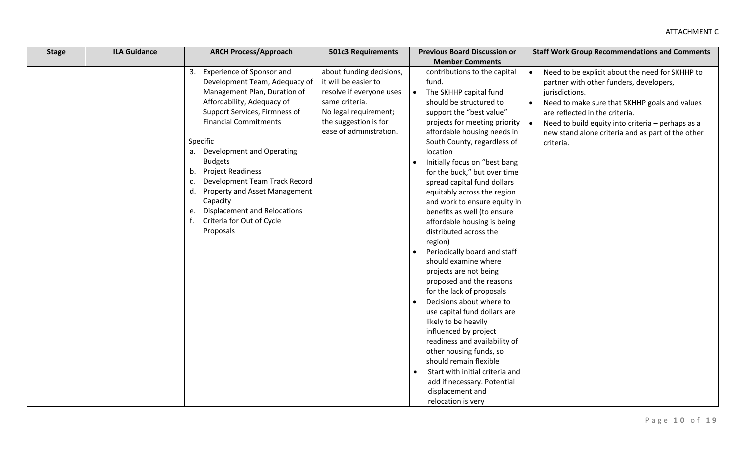| <b>Member Comments</b><br>3. Experience of Sponsor and<br>about funding decisions,<br>contributions to the capital<br>Need to be explicit about the need for SKHHP to<br>$\bullet$<br>Development Team, Adequacy of<br>it will be easier to<br>partner with other funders, developers,<br>fund.                                                                                                                                                                                                                                                                                                                                                                                                                                                                                                                                                                                                                                                                                                                                                                                                                                                                                                                                                                                                                                                                                                                                                                                                                                                                                                                                                                                                       |  |
|-------------------------------------------------------------------------------------------------------------------------------------------------------------------------------------------------------------------------------------------------------------------------------------------------------------------------------------------------------------------------------------------------------------------------------------------------------------------------------------------------------------------------------------------------------------------------------------------------------------------------------------------------------------------------------------------------------------------------------------------------------------------------------------------------------------------------------------------------------------------------------------------------------------------------------------------------------------------------------------------------------------------------------------------------------------------------------------------------------------------------------------------------------------------------------------------------------------------------------------------------------------------------------------------------------------------------------------------------------------------------------------------------------------------------------------------------------------------------------------------------------------------------------------------------------------------------------------------------------------------------------------------------------------------------------------------------------|--|
|                                                                                                                                                                                                                                                                                                                                                                                                                                                                                                                                                                                                                                                                                                                                                                                                                                                                                                                                                                                                                                                                                                                                                                                                                                                                                                                                                                                                                                                                                                                                                                                                                                                                                                       |  |
| Management Plan, Duration of<br>resolve if everyone uses<br>The SKHHP capital fund<br>jurisdictions.<br>$\bullet$<br>Affordability, Adequacy of<br>same criteria.<br>should be structured to<br>Need to make sure that SKHHP goals and values<br>$\bullet$<br>Support Services, Firmness of<br>No legal requirement;<br>support the "best value"<br>are reflected in the criteria.<br><b>Financial Commitments</b><br>the suggestion is for<br>projects for meeting priority<br>Need to build equity into criteria - perhaps as a<br>ease of administration.<br>affordable housing needs in<br>new stand alone criteria and as part of the other<br>Specific<br>South County, regardless of<br>criteria.<br>a. Development and Operating<br>location<br><b>Budgets</b><br>Initially focus on "best bang<br><b>Project Readiness</b><br>b.<br>for the buck," but over time<br>Development Team Track Record<br>c.<br>spread capital fund dollars<br>d.<br>Property and Asset Management<br>equitably across the region<br>Capacity<br>and work to ensure equity in<br><b>Displacement and Relocations</b><br>benefits as well (to ensure<br>e.<br>f.<br>Criteria for Out of Cycle<br>affordable housing is being<br>Proposals<br>distributed across the<br>region)<br>Periodically board and staff<br>should examine where<br>projects are not being<br>proposed and the reasons<br>for the lack of proposals<br>Decisions about where to<br>use capital fund dollars are<br>likely to be heavily<br>influenced by project<br>readiness and availability of<br>other housing funds, so<br>should remain flexible<br>Start with initial criteria and<br>add if necessary. Potential<br>displacement and |  |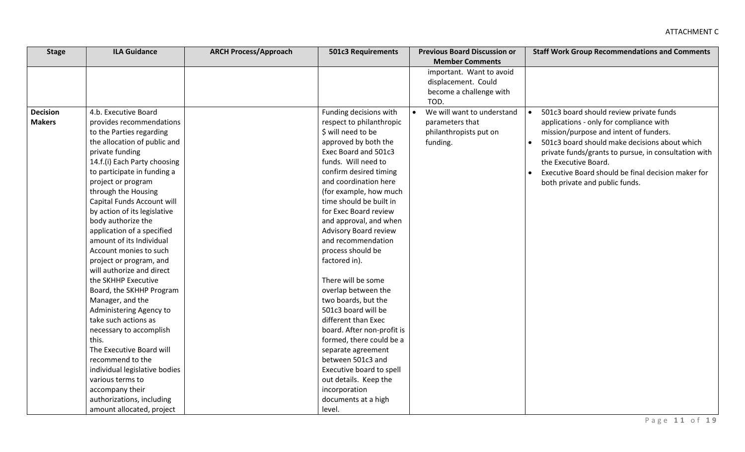| <b>Stage</b>    | <b>ILA Guidance</b>           | <b>ARCH Process/Approach</b> | <b>501c3 Requirements</b>  | <b>Previous Board Discussion or</b>             | <b>Staff Work Group Recommendations and Comments</b>            |
|-----------------|-------------------------------|------------------------------|----------------------------|-------------------------------------------------|-----------------------------------------------------------------|
|                 |                               |                              |                            | <b>Member Comments</b>                          |                                                                 |
|                 |                               |                              |                            | important. Want to avoid<br>displacement. Could |                                                                 |
|                 |                               |                              |                            | become a challenge with                         |                                                                 |
|                 |                               |                              |                            | TOD.                                            |                                                                 |
| <b>Decision</b> | 4.b. Executive Board          |                              | Funding decisions with     | We will want to understand                      | 501c3 board should review private funds<br>$\bullet$            |
| <b>Makers</b>   | provides recommendations      |                              | respect to philanthropic   | parameters that                                 | applications - only for compliance with                         |
|                 | to the Parties regarding      |                              | \$ will need to be         | philanthropists put on                          | mission/purpose and intent of funders.                          |
|                 | the allocation of public and  |                              | approved by both the       | funding.                                        | 501c3 board should make decisions about which<br>$\bullet$      |
|                 | private funding               |                              | Exec Board and 501c3       |                                                 | private funds/grants to pursue, in consultation with            |
|                 | 14.f.(i) Each Party choosing  |                              | funds. Will need to        |                                                 | the Executive Board.                                            |
|                 | to participate in funding a   |                              | confirm desired timing     |                                                 | Executive Board should be final decision maker for<br>$\bullet$ |
|                 | project or program            |                              | and coordination here      |                                                 | both private and public funds.                                  |
|                 | through the Housing           |                              | (for example, how much     |                                                 |                                                                 |
|                 | Capital Funds Account will    |                              | time should be built in    |                                                 |                                                                 |
|                 | by action of its legislative  |                              | for Exec Board review      |                                                 |                                                                 |
|                 | body authorize the            |                              | and approval, and when     |                                                 |                                                                 |
|                 | application of a specified    |                              | Advisory Board review      |                                                 |                                                                 |
|                 | amount of its Individual      |                              | and recommendation         |                                                 |                                                                 |
|                 | Account monies to such        |                              | process should be          |                                                 |                                                                 |
|                 | project or program, and       |                              | factored in).              |                                                 |                                                                 |
|                 | will authorize and direct     |                              |                            |                                                 |                                                                 |
|                 | the SKHHP Executive           |                              | There will be some         |                                                 |                                                                 |
|                 | Board, the SKHHP Program      |                              | overlap between the        |                                                 |                                                                 |
|                 | Manager, and the              |                              | two boards, but the        |                                                 |                                                                 |
|                 | Administering Agency to       |                              | 501c3 board will be        |                                                 |                                                                 |
|                 | take such actions as          |                              | different than Exec        |                                                 |                                                                 |
|                 | necessary to accomplish       |                              | board. After non-profit is |                                                 |                                                                 |
|                 | this.                         |                              | formed, there could be a   |                                                 |                                                                 |
|                 | The Executive Board will      |                              | separate agreement         |                                                 |                                                                 |
|                 | recommend to the              |                              | between 501c3 and          |                                                 |                                                                 |
|                 | individual legislative bodies |                              | Executive board to spell   |                                                 |                                                                 |
|                 | various terms to              |                              | out details. Keep the      |                                                 |                                                                 |
|                 | accompany their               |                              | incorporation              |                                                 |                                                                 |
|                 | authorizations, including     |                              | documents at a high        |                                                 |                                                                 |
|                 | amount allocated, project     |                              | level.                     |                                                 |                                                                 |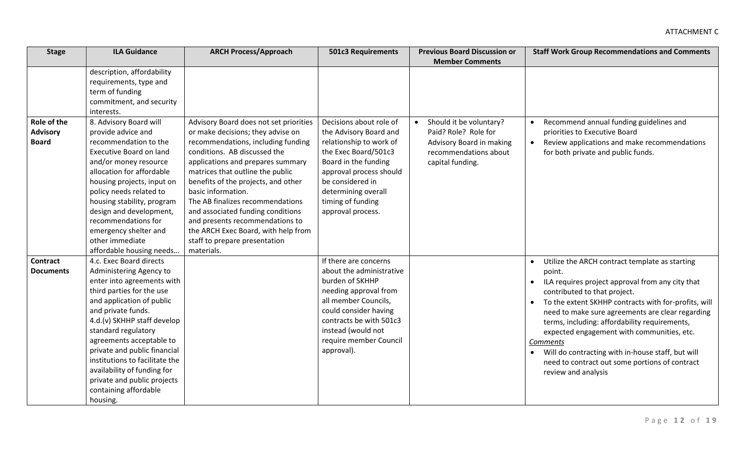| <b>Stage</b>     | <b>ILA Guidance</b>            | <b>ARCH Process/Approach</b>           | <b>501c3 Requirements</b> | <b>Previous Board Discussion or</b>  | <b>Staff Work Group Recommendations and Comments</b>              |
|------------------|--------------------------------|----------------------------------------|---------------------------|--------------------------------------|-------------------------------------------------------------------|
|                  |                                |                                        |                           | <b>Member Comments</b>               |                                                                   |
|                  | description, affordability     |                                        |                           |                                      |                                                                   |
|                  | requirements, type and         |                                        |                           |                                      |                                                                   |
|                  | term of funding                |                                        |                           |                                      |                                                                   |
|                  | commitment, and security       |                                        |                           |                                      |                                                                   |
|                  | interests.                     |                                        |                           |                                      |                                                                   |
| Role of the      | 8. Advisory Board will         | Advisory Board does not set priorities | Decisions about role of   | Should it be voluntary?<br>$\bullet$ | Recommend annual funding guidelines and                           |
| <b>Advisory</b>  | provide advice and             | or make decisions; they advise on      | the Advisory Board and    | Paid? Role? Role for                 | priorities to Executive Board                                     |
| <b>Board</b>     | recommendation to the          | recommendations, including funding     | relationship to work of   | Advisory Board in making             | Review applications and make recommendations<br>$\bullet$         |
|                  | <b>Executive Board on land</b> | conditions. AB discussed the           | the Exec Board/501c3      | recommendations about                | for both private and public funds.                                |
|                  | and/or money resource          | applications and prepares summary      | Board in the funding      | capital funding.                     |                                                                   |
|                  | allocation for affordable      | matrices that outline the public       | approval process should   |                                      |                                                                   |
|                  | housing projects, input on     | benefits of the projects, and other    | be considered in          |                                      |                                                                   |
|                  | policy needs related to        | basic information.                     | determining overall       |                                      |                                                                   |
|                  | housing stability, program     | The AB finalizes recommendations       | timing of funding         |                                      |                                                                   |
|                  | design and development,        | and associated funding conditions      | approval process.         |                                      |                                                                   |
|                  | recommendations for            | and presents recommendations to        |                           |                                      |                                                                   |
|                  | emergency shelter and          | the ARCH Exec Board, with help from    |                           |                                      |                                                                   |
|                  | other immediate                | staff to prepare presentation          |                           |                                      |                                                                   |
|                  | affordable housing needs       | materials.                             |                           |                                      |                                                                   |
| <b>Contract</b>  | 4.c. Exec Board directs        |                                        | If there are concerns     |                                      | Utilize the ARCH contract template as starting                    |
| <b>Documents</b> | Administering Agency to        |                                        | about the administrative  |                                      | point.                                                            |
|                  | enter into agreements with     |                                        | burden of SKHHP           |                                      | ILA requires project approval from any city that                  |
|                  | third parties for the use      |                                        | needing approval from     |                                      | contributed to that project.                                      |
|                  | and application of public      |                                        | all member Councils,      |                                      | To the extent SKHHP contracts with for-profits, will<br>$\bullet$ |
|                  | and private funds.             |                                        | could consider having     |                                      | need to make sure agreements are clear regarding                  |
|                  | 4.d.(v) SKHHP staff develop    |                                        | contracts be with 501c3   |                                      | terms, including: affordability requirements,                     |
|                  | standard regulatory            |                                        | instead (would not        |                                      | expected engagement with communities, etc.                        |
|                  | agreements acceptable to       |                                        | require member Council    |                                      | Comments                                                          |
|                  | private and public financial   |                                        | approval).                |                                      | Will do contracting with in-house staff, but will                 |
|                  | institutions to facilitate the |                                        |                           |                                      | need to contract out some portions of contract                    |
|                  | availability of funding for    |                                        |                           |                                      | review and analysis                                               |
|                  | private and public projects    |                                        |                           |                                      |                                                                   |
|                  | containing affordable          |                                        |                           |                                      |                                                                   |
|                  | housing.                       |                                        |                           |                                      |                                                                   |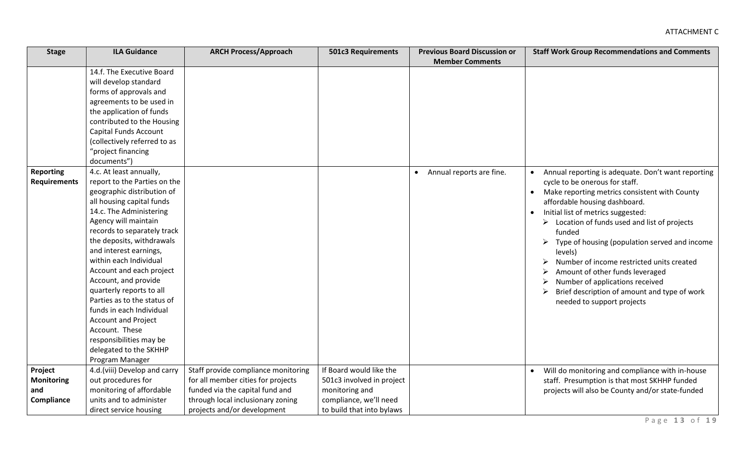| <b>Stage</b>        | <b>ILA Guidance</b>          | <b>ARCH Process/Approach</b>        | <b>501c3 Requirements</b> | <b>Previous Board Discussion or</b> | <b>Staff Work Group Recommendations and Comments</b>         |
|---------------------|------------------------------|-------------------------------------|---------------------------|-------------------------------------|--------------------------------------------------------------|
|                     |                              |                                     |                           | <b>Member Comments</b>              |                                                              |
|                     | 14.f. The Executive Board    |                                     |                           |                                     |                                                              |
|                     | will develop standard        |                                     |                           |                                     |                                                              |
|                     | forms of approvals and       |                                     |                           |                                     |                                                              |
|                     | agreements to be used in     |                                     |                           |                                     |                                                              |
|                     | the application of funds     |                                     |                           |                                     |                                                              |
|                     | contributed to the Housing   |                                     |                           |                                     |                                                              |
|                     | Capital Funds Account        |                                     |                           |                                     |                                                              |
|                     | (collectively referred to as |                                     |                           |                                     |                                                              |
|                     | "project financing           |                                     |                           |                                     |                                                              |
|                     | documents")                  |                                     |                           |                                     |                                                              |
| <b>Reporting</b>    | 4.c. At least annually,      |                                     |                           | Annual reports are fine.            | Annual reporting is adequate. Don't want reporting           |
| <b>Requirements</b> | report to the Parties on the |                                     |                           |                                     | cycle to be onerous for staff.                               |
|                     | geographic distribution of   |                                     |                           |                                     | Make reporting metrics consistent with County<br>$\bullet$   |
|                     | all housing capital funds    |                                     |                           |                                     | affordable housing dashboard.                                |
|                     | 14.c. The Administering      |                                     |                           |                                     | Initial list of metrics suggested:<br>$\bullet$              |
|                     | Agency will maintain         |                                     |                           |                                     | $\triangleright$ Location of funds used and list of projects |
|                     | records to separately track  |                                     |                           |                                     | funded                                                       |
|                     | the deposits, withdrawals    |                                     |                           |                                     | Type of housing (population served and income<br>≻           |
|                     | and interest earnings,       |                                     |                           |                                     | levels)                                                      |
|                     | within each Individual       |                                     |                           |                                     | Number of income restricted units created                    |
|                     | Account and each project     |                                     |                           |                                     | Amount of other funds leveraged                              |
|                     | Account, and provide         |                                     |                           |                                     | Number of applications received                              |
|                     | quarterly reports to all     |                                     |                           |                                     | Brief description of amount and type of work                 |
|                     | Parties as to the status of  |                                     |                           |                                     | needed to support projects                                   |
|                     | funds in each Individual     |                                     |                           |                                     |                                                              |
|                     | <b>Account and Project</b>   |                                     |                           |                                     |                                                              |
|                     | Account. These               |                                     |                           |                                     |                                                              |
|                     | responsibilities may be      |                                     |                           |                                     |                                                              |
|                     | delegated to the SKHHP       |                                     |                           |                                     |                                                              |
|                     | Program Manager              |                                     |                           |                                     |                                                              |
| Project             | 4.d.(viii) Develop and carry | Staff provide compliance monitoring | If Board would like the   |                                     | Will do monitoring and compliance with in-house<br>$\bullet$ |
| <b>Monitoring</b>   | out procedures for           | for all member cities for projects  | 501c3 involved in project |                                     | staff. Presumption is that most SKHHP funded                 |
| and                 | monitoring of affordable     | funded via the capital fund and     | monitoring and            |                                     | projects will also be County and/or state-funded             |
| Compliance          | units and to administer      | through local inclusionary zoning   | compliance, we'll need    |                                     |                                                              |
|                     | direct service housing       | projects and/or development         | to build that into bylaws |                                     |                                                              |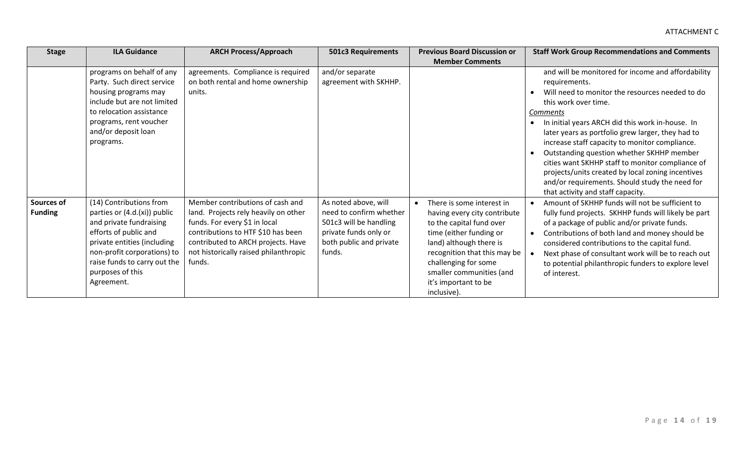| <b>Stage</b>                 | <b>ILA Guidance</b>                                                                                                                                                                                                                         | <b>ARCH Process/Approach</b>                                                                                                                                                                                                             | <b>501c3 Requirements</b>                                                                                                               | <b>Previous Board Discussion or</b>                                                                                                                                                                                                                                                 | <b>Staff Work Group Recommendations and Comments</b>                                                                                                                                                                                                                                                                                                                                                                                                                                                                                                                      |
|------------------------------|---------------------------------------------------------------------------------------------------------------------------------------------------------------------------------------------------------------------------------------------|------------------------------------------------------------------------------------------------------------------------------------------------------------------------------------------------------------------------------------------|-----------------------------------------------------------------------------------------------------------------------------------------|-------------------------------------------------------------------------------------------------------------------------------------------------------------------------------------------------------------------------------------------------------------------------------------|---------------------------------------------------------------------------------------------------------------------------------------------------------------------------------------------------------------------------------------------------------------------------------------------------------------------------------------------------------------------------------------------------------------------------------------------------------------------------------------------------------------------------------------------------------------------------|
|                              |                                                                                                                                                                                                                                             |                                                                                                                                                                                                                                          |                                                                                                                                         | <b>Member Comments</b>                                                                                                                                                                                                                                                              |                                                                                                                                                                                                                                                                                                                                                                                                                                                                                                                                                                           |
|                              | programs on behalf of any<br>Party. Such direct service<br>housing programs may<br>include but are not limited<br>to relocation assistance<br>programs, rent voucher<br>and/or deposit loan<br>programs.                                    | agreements. Compliance is required<br>on both rental and home ownership<br>units.                                                                                                                                                        | and/or separate<br>agreement with SKHHP.                                                                                                |                                                                                                                                                                                                                                                                                     | and will be monitored for income and affordability<br>requirements.<br>Will need to monitor the resources needed to do<br>this work over time.<br><b>Comments</b><br>In initial years ARCH did this work in-house. In<br>later years as portfolio grew larger, they had to<br>increase staff capacity to monitor compliance.<br>Outstanding question whether SKHHP member<br>cities want SKHHP staff to monitor compliance of<br>projects/units created by local zoning incentives<br>and/or requirements. Should study the need for<br>that activity and staff capacity. |
| Sources of<br><b>Funding</b> | (14) Contributions from<br>parties or (4.d.(xi)) public<br>and private fundraising<br>efforts of public and<br>private entities (including<br>non-profit corporations) to<br>raise funds to carry out the<br>purposes of this<br>Agreement. | Member contributions of cash and<br>land. Projects rely heavily on other<br>funds. For every \$1 in local<br>contributions to HTF \$10 has been<br>contributed to ARCH projects. Have<br>not historically raised philanthropic<br>funds. | As noted above, will<br>need to confirm whether<br>501c3 will be handling<br>private funds only or<br>both public and private<br>funds. | There is some interest in<br>$\bullet$<br>having every city contribute<br>to the capital fund over<br>time (either funding or<br>land) although there is<br>recognition that this may be<br>challenging for some<br>smaller communities (and<br>it's important to be<br>inclusive). | Amount of SKHHP funds will not be sufficient to<br>fully fund projects. SKHHP funds will likely be part<br>of a package of public and/or private funds.<br>Contributions of both land and money should be<br>considered contributions to the capital fund.<br>Next phase of consultant work will be to reach out<br>to potential philanthropic funders to explore level<br>of interest.                                                                                                                                                                                   |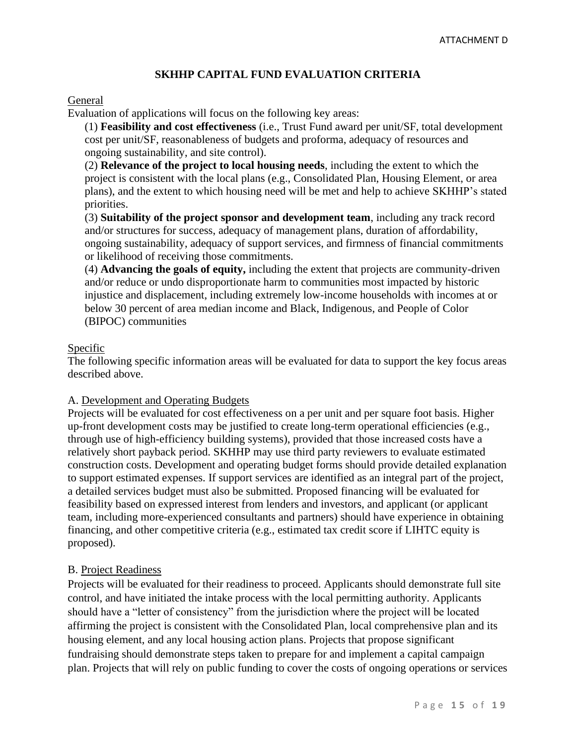### **SKHHP CAPITAL FUND EVALUATION CRITERIA**

### General

Evaluation of applications will focus on the following key areas:

(1) **Feasibility and cost effectiveness** (i.e., Trust Fund award per unit/SF, total development cost per unit/SF, reasonableness of budgets and proforma, adequacy of resources and ongoing sustainability, and site control).

(2) **Relevance of the project to local housing needs**, including the extent to which the project is consistent with the local plans (e.g., Consolidated Plan, Housing Element, or area plans), and the extent to which housing need will be met and help to achieve SKHHP's stated priorities.

(3) **Suitability of the project sponsor and development team**, including any track record and/or structures for success, adequacy of management plans, duration of affordability, ongoing sustainability, adequacy of support services, and firmness of financial commitments or likelihood of receiving those commitments.

(4) **Advancing the goals of equity,** including the extent that projects are community-driven and/or reduce or undo disproportionate harm to communities most impacted by historic injustice and displacement, including extremely low-income households with incomes at or below 30 percent of area median income and Black, Indigenous, and People of Color (BIPOC) communities

### Specific

The following specific information areas will be evaluated for data to support the key focus areas described above.

#### A. Development and Operating Budgets

Projects will be evaluated for cost effectiveness on a per unit and per square foot basis. Higher up-front development costs may be justified to create long-term operational efficiencies (e.g., through use of high-efficiency building systems), provided that those increased costs have a relatively short payback period. SKHHP may use third party reviewers to evaluate estimated construction costs. Development and operating budget forms should provide detailed explanation to support estimated expenses. If support services are identified as an integral part of the project, a detailed services budget must also be submitted. Proposed financing will be evaluated for feasibility based on expressed interest from lenders and investors, and applicant (or applicant team, including more-experienced consultants and partners) should have experience in obtaining financing, and other competitive criteria (e.g., estimated tax credit score if LIHTC equity is proposed).

#### B. Project Readiness

Projects will be evaluated for their readiness to proceed. Applicants should demonstrate full site control, and have initiated the intake process with the local permitting authority. Applicants should have a "letter of consistency" from the jurisdiction where the project will be located affirming the project is consistent with the Consolidated Plan, local comprehensive plan and its housing element, and any local housing action plans. Projects that propose significant fundraising should demonstrate steps taken to prepare for and implement a capital campaign plan. Projects that will rely on public funding to cover the costs of ongoing operations or services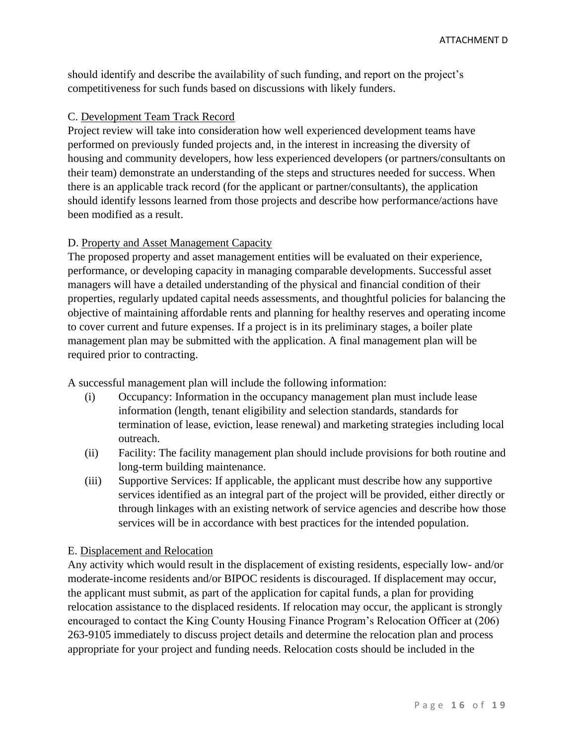should identify and describe the availability of such funding, and report on the project's competitiveness for such funds based on discussions with likely funders.

### C. Development Team Track Record

Project review will take into consideration how well experienced development teams have performed on previously funded projects and, in the interest in increasing the diversity of housing and community developers, how less experienced developers (or partners/consultants on their team) demonstrate an understanding of the steps and structures needed for success. When there is an applicable track record (for the applicant or partner/consultants), the application should identify lessons learned from those projects and describe how performance/actions have been modified as a result.

### D. Property and Asset Management Capacity

The proposed property and asset management entities will be evaluated on their experience, performance, or developing capacity in managing comparable developments. Successful asset managers will have a detailed understanding of the physical and financial condition of their properties, regularly updated capital needs assessments, and thoughtful policies for balancing the objective of maintaining affordable rents and planning for healthy reserves and operating income to cover current and future expenses. If a project is in its preliminary stages, a boiler plate management plan may be submitted with the application. A final management plan will be required prior to contracting.

A successful management plan will include the following information:

- (i) Occupancy: Information in the occupancy management plan must include lease information (length, tenant eligibility and selection standards, standards for termination of lease, eviction, lease renewal) and marketing strategies including local outreach.
- (ii) Facility: The facility management plan should include provisions for both routine and long-term building maintenance.
- (iii) Supportive Services: If applicable, the applicant must describe how any supportive services identified as an integral part of the project will be provided, either directly or through linkages with an existing network of service agencies and describe how those services will be in accordance with best practices for the intended population.

### E. Displacement and Relocation

Any activity which would result in the displacement of existing residents, especially low- and/or moderate-income residents and/or BIPOC residents is discouraged. If displacement may occur, the applicant must submit, as part of the application for capital funds, a plan for providing relocation assistance to the displaced residents. If relocation may occur, the applicant is strongly encouraged to contact the King County Housing Finance Program's Relocation Officer at (206) 263-9105 immediately to discuss project details and determine the relocation plan and process appropriate for your project and funding needs. Relocation costs should be included in the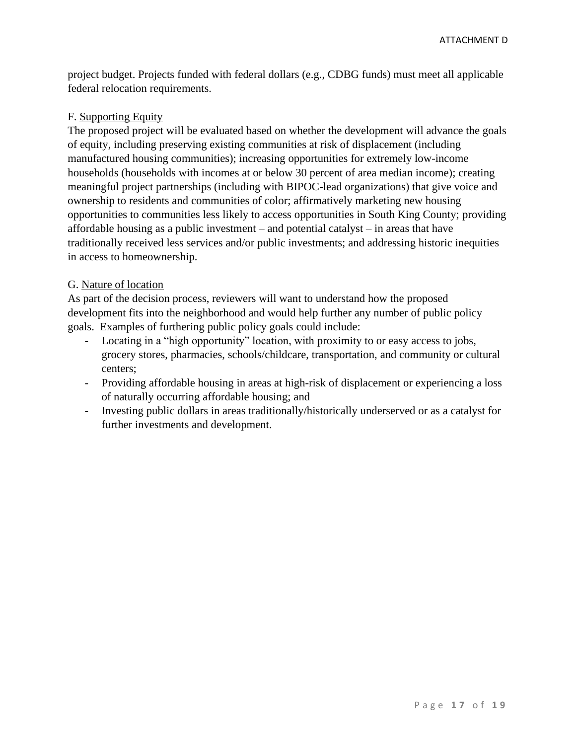project budget. Projects funded with federal dollars (e.g., CDBG funds) must meet all applicable federal relocation requirements.

### F. Supporting Equity

The proposed project will be evaluated based on whether the development will advance the goals of equity, including preserving existing communities at risk of displacement (including manufactured housing communities); increasing opportunities for extremely low-income households (households with incomes at or below 30 percent of area median income); creating meaningful project partnerships (including with BIPOC-lead organizations) that give voice and ownership to residents and communities of color; affirmatively marketing new housing opportunities to communities less likely to access opportunities in South King County; providing affordable housing as a public investment – and potential catalyst – in areas that have traditionally received less services and/or public investments; and addressing historic inequities in access to homeownership.

### G. Nature of location

As part of the decision process, reviewers will want to understand how the proposed development fits into the neighborhood and would help further any number of public policy goals. Examples of furthering public policy goals could include:

- Locating in a "high opportunity" location, with proximity to or easy access to jobs, grocery stores, pharmacies, schools/childcare, transportation, and community or cultural centers;
- Providing affordable housing in areas at high-risk of displacement or experiencing a loss of naturally occurring affordable housing; and
- Investing public dollars in areas traditionally/historically underserved or as a catalyst for further investments and development.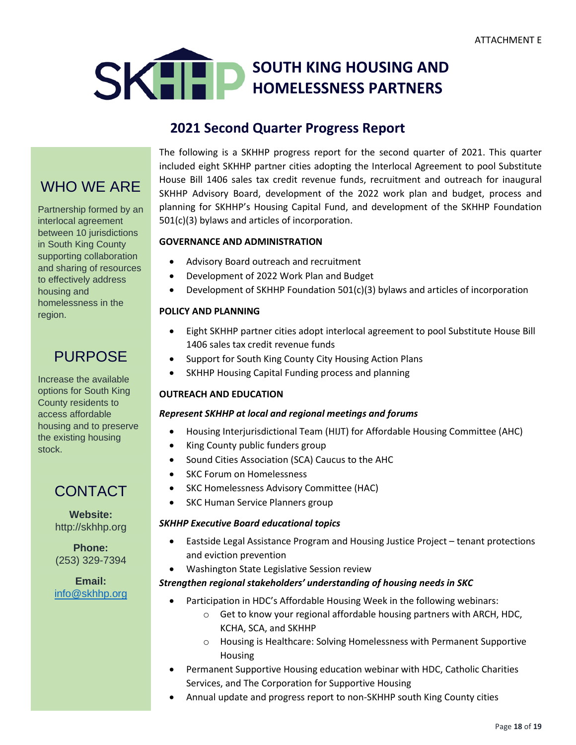

# **2021 Second Quarter Progress Report**

# WHO WE ARE

Partnership formed by an interlocal agreement between 10 jurisdictions in South King County supporting collaboration and sharing of resources to effectively address housing and homelessness in the region.

# PURPOSE

Increase the available options for South King County residents to access affordable housing and to preserve the existing housing stock.

# CONTACT

**Website:** [http://skhhp.org](http://skhhp.org/)

**Phone:** (253) 329-7394

**Email:**  [info@skhhp.org](mailto:info@skhhp.org) The following is a SKHHP progress report for the second quarter of 2021. This quarter included eight SKHHP partner cities adopting the Interlocal Agreement to pool Substitute House Bill 1406 sales tax credit revenue funds, recruitment and outreach for inaugural SKHHP Advisory Board, development of the 2022 work plan and budget, process and planning for SKHHP's Housing Capital Fund, and development of the SKHHP Foundation 501(c)(3) bylaws and articles of incorporation.

### **GOVERNANCE AND ADMINISTRATION**

- Advisory Board outreach and recruitment
- Development of 2022 Work Plan and Budget
- Development of SKHHP Foundation 501(c)(3) bylaws and articles of incorporation

### **POLICY AND PLANNING**

- Eight SKHHP partner cities adopt interlocal agreement to pool Substitute House Bill 1406 sales tax credit revenue funds
- Support for South King County City Housing Action Plans
- SKHHP Housing Capital Funding process and planning

### **OUTREACH AND EDUCATION**

#### *Represent SKHHP at local and regional meetings and forums*

- Housing Interjurisdictional Team (HIJT) for Affordable Housing Committee (AHC)
- King County public funders group
- Sound Cities Association (SCA) Caucus to the AHC
- SKC Forum on Homelessness
- SKC Homelessness Advisory Committee (HAC)
- SKC Human Service Planners group

#### *SKHHP Executive Board educational topics*

- Eastside Legal Assistance Program and Housing Justice Project tenant protections and eviction prevention
- Washington State Legislative Session review

### *Strengthen regional stakeholders' understanding of housing needs in SKC*

- Participation in HDC's Affordable Housing Week in the following webinars:
	- o Get to know your regional affordable housing partners with ARCH, HDC, KCHA, SCA, and SKHHP
	- o Housing is Healthcare: Solving Homelessness with Permanent Supportive Housing
- Permanent Supportive Housing education webinar with HDC, Catholic Charities Services, and The Corporation for Supportive Housing
- Annual update and progress report to non-SKHHP south King County cities